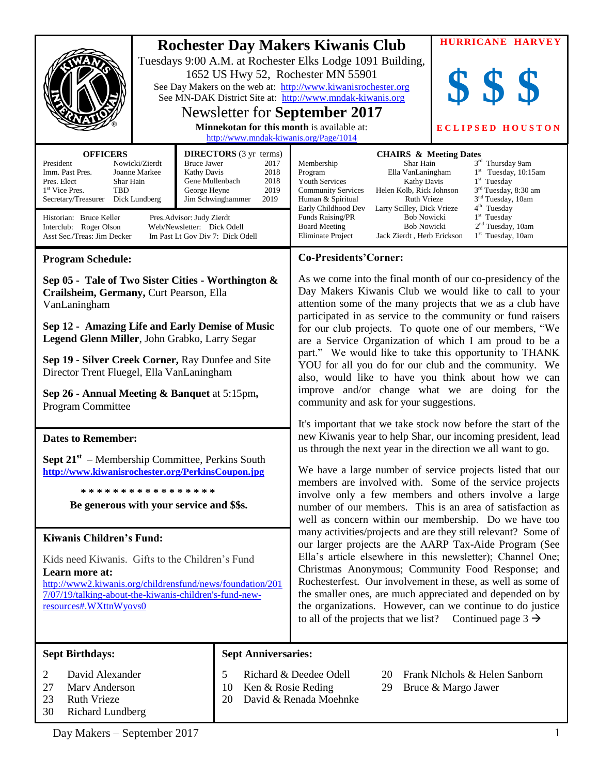|                                                                                                                                                                                 |                                                                                                                          |                                                                                                                                                                                                                                                                                                                                                                                                                                                                                                                                                                                                                                                                                                                                                                                                                                                | <b>HURRICANE HARVEY</b>                                                                                    |
|---------------------------------------------------------------------------------------------------------------------------------------------------------------------------------|--------------------------------------------------------------------------------------------------------------------------|------------------------------------------------------------------------------------------------------------------------------------------------------------------------------------------------------------------------------------------------------------------------------------------------------------------------------------------------------------------------------------------------------------------------------------------------------------------------------------------------------------------------------------------------------------------------------------------------------------------------------------------------------------------------------------------------------------------------------------------------------------------------------------------------------------------------------------------------|------------------------------------------------------------------------------------------------------------|
|                                                                                                                                                                                 | 1652 US Hwy 52, Rochester MN 55901<br>Newsletter for September 2017<br><b>Minnekotan for this month is available at:</b> | <b>Rochester Day Makers Kiwanis Club</b><br>Tuesdays 9:00 A.M. at Rochester Elks Lodge 1091 Building,<br>See Day Makers on the web at: http://www.kiwanisrochester.org<br>See MN-DAK District Site at: http://www.mndak-kiwanis.org                                                                                                                                                                                                                                                                                                                                                                                                                                                                                                                                                                                                            | <b>ECLIPSED HOUSTON</b>                                                                                    |
| <b>OFFICERS</b><br>President<br>Nowicki/Zierdt                                                                                                                                  | http://www.mndak-kiwanis.org/Page/1014<br><b>DIRECTORS</b> (3 yr terms)<br>Bruce Jawer<br>2017                           | <b>CHAIRS &amp; Meeting Dates</b><br>Shar Hain<br>Membership                                                                                                                                                                                                                                                                                                                                                                                                                                                                                                                                                                                                                                                                                                                                                                                   | $3^{\rm rd}$ Thursday 9am                                                                                  |
| Imm. Past Pres.<br>Joanne Markee<br>Pres. Elect<br>Shar Hain<br>1 <sup>st</sup> Vice Pres.<br>TBD<br>Secretary/Treasurer Dick Lundberg                                          | 2018<br>Kathy Davis<br>Gene Mullenbach<br>2018<br>George Heyne<br>2019<br>Jim Schwinghammer<br>2019                      | Ella VanLaningham<br>$1st$ Tuesday, 10:15am<br>Program<br><b>Youth Services</b><br>$1st$ Tuesday<br><b>Kathy Davis</b><br>3 <sup>rd</sup> Tuesday, 8:30 am<br><b>Community Services</b><br>Helen Kolb, Rick Johnson<br>3 <sup>nd</sup> Tuesday, 10am<br><b>Ruth Vrieze</b><br>Human & Spiritual                                                                                                                                                                                                                                                                                                                                                                                                                                                                                                                                                |                                                                                                            |
| Historian: Bruce Keller<br>Pres.Advisor: Judy Zierdt<br>Web/Newsletter: Dick Odell<br>Interclub: Roger Olson<br>Asst Sec./Treas: Jim Decker<br>Im Past Lt Gov Div 7: Dick Odell |                                                                                                                          | Early Childhood Dev<br>Larry Scilley, Dick Vrieze<br>Funds Raising/PR<br><b>Bob Nowicki</b><br><b>Bob Nowicki</b><br><b>Board Meeting</b><br><b>Eliminate Project</b><br>Jack Zierdt, Herb Erickson                                                                                                                                                                                                                                                                                                                                                                                                                                                                                                                                                                                                                                            | 4 <sup>th</sup> Tuesday<br>$1st$ Tuesday<br>2 <sup>nd</sup> Tuesday, 10am<br>1 <sup>st</sup> Tuesday, 10am |
| <b>Program Schedule:</b>                                                                                                                                                        |                                                                                                                          | <b>Co-Presidents'Corner:</b>                                                                                                                                                                                                                                                                                                                                                                                                                                                                                                                                                                                                                                                                                                                                                                                                                   |                                                                                                            |
| Sep 05 - Tale of Two Sister Cities - Worthington &<br>Crailsheim, Germany, Curt Pearson, Ella<br>VanLaningham                                                                   |                                                                                                                          | As we come into the final month of our co-presidency of the<br>Day Makers Kiwanis Club we would like to call to your<br>attention some of the many projects that we as a club have<br>participated in as service to the community or fund raisers<br>for our club projects. To quote one of our members, "We<br>are a Service Organization of which I am proud to be a<br>part." We would like to take this opportunity to THANK<br>YOU for all you do for our club and the community. We<br>also, would like to have you think about how we can<br>improve and/or change what we are doing for the<br>community and ask for your suggestions.<br>It's important that we take stock now before the start of the<br>new Kiwanis year to help Shar, our incoming president, lead<br>us through the next year in the direction we all want to go. |                                                                                                            |
| Sep 12 - Amazing Life and Early Demise of Music<br>Legend Glenn Miller, John Grabko, Larry Segar                                                                                |                                                                                                                          |                                                                                                                                                                                                                                                                                                                                                                                                                                                                                                                                                                                                                                                                                                                                                                                                                                                |                                                                                                            |
| Sep 19 - Silver Creek Corner, Ray Dunfee and Site<br>Director Trent Fluegel, Ella VanLaningham                                                                                  |                                                                                                                          |                                                                                                                                                                                                                                                                                                                                                                                                                                                                                                                                                                                                                                                                                                                                                                                                                                                |                                                                                                            |
| Sep 26 - Annual Meeting & Banquet at 5:15pm,<br><b>Program Committee</b>                                                                                                        |                                                                                                                          |                                                                                                                                                                                                                                                                                                                                                                                                                                                                                                                                                                                                                                                                                                                                                                                                                                                |                                                                                                            |
| <b>Dates to Remember:</b>                                                                                                                                                       |                                                                                                                          |                                                                                                                                                                                                                                                                                                                                                                                                                                                                                                                                                                                                                                                                                                                                                                                                                                                |                                                                                                            |
| <b>Sept 21</b> <sup>st</sup> – Membership Committee, Perkins South<br>http://www.kiwanisrochester.org/PerkinsCoupon.jpg                                                         |                                                                                                                          | We have a large number of service projects listed that our<br>members are involved with. Some of the service projects<br>involve only a few members and others involve a large<br>number of our members. This is an area of satisfaction as<br>well as concern within our membership. Do we have too<br>many activities/projects and are they still relevant? Some of<br>our larger projects are the AARP Tax-Aide Program (See<br>Ella's article elsewhere in this newsletter); Channel One;<br>Christmas Anonymous; Community Food Response; and<br>Rochesterfest. Our involvement in these, as well as some of<br>the smaller ones, are much appreciated and depended on by<br>the organizations. However, can we continue to do justice<br>to all of the projects that we list? Continued page $3 \rightarrow$                             |                                                                                                            |
| *****************                                                                                                                                                               |                                                                                                                          |                                                                                                                                                                                                                                                                                                                                                                                                                                                                                                                                                                                                                                                                                                                                                                                                                                                |                                                                                                            |
| Be generous with your service and \$\$s.                                                                                                                                        |                                                                                                                          |                                                                                                                                                                                                                                                                                                                                                                                                                                                                                                                                                                                                                                                                                                                                                                                                                                                |                                                                                                            |
| <b>Kiwanis Children's Fund:</b>                                                                                                                                                 |                                                                                                                          |                                                                                                                                                                                                                                                                                                                                                                                                                                                                                                                                                                                                                                                                                                                                                                                                                                                |                                                                                                            |
| Kids need Kiwanis. Gifts to the Children's Fund                                                                                                                                 |                                                                                                                          |                                                                                                                                                                                                                                                                                                                                                                                                                                                                                                                                                                                                                                                                                                                                                                                                                                                |                                                                                                            |
| Learn more at:<br>http://www2.kiwanis.org/childrensfund/news/foundation/201                                                                                                     |                                                                                                                          |                                                                                                                                                                                                                                                                                                                                                                                                                                                                                                                                                                                                                                                                                                                                                                                                                                                |                                                                                                            |
| 7/07/19/talking-about-the-kiwanis-children's-fund-new-<br>resources#.WXttnWyovs0                                                                                                |                                                                                                                          |                                                                                                                                                                                                                                                                                                                                                                                                                                                                                                                                                                                                                                                                                                                                                                                                                                                |                                                                                                            |
| <b>Sept Birthdays:</b>                                                                                                                                                          | <b>Sept Anniversaries:</b>                                                                                               |                                                                                                                                                                                                                                                                                                                                                                                                                                                                                                                                                                                                                                                                                                                                                                                                                                                |                                                                                                            |
| David Alexander<br>2<br>27<br>Marv Anderson<br>23<br><b>Ruth Vrieze</b><br>30<br><b>Richard Lundberg</b>                                                                        | 5<br>10<br>20                                                                                                            | Richard & Deedee Odell<br>Frank NIchols & Helen Sanborn<br>20<br>Ken & Rosie Reding<br>29<br>Bruce & Margo Jawer<br>David & Renada Moehnke                                                                                                                                                                                                                                                                                                                                                                                                                                                                                                                                                                                                                                                                                                     |                                                                                                            |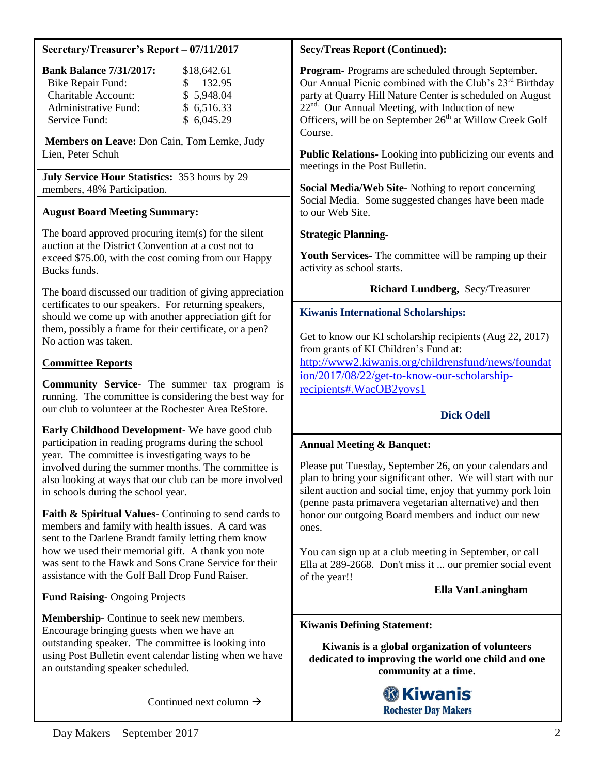## **Secretary/Treasurer's Report – 07/11/2017**

| <b>Bank Balance 7/31/2017:</b> | \$18,642.61   |
|--------------------------------|---------------|
| <b>Bike Repair Fund:</b>       | 132.95<br>SS. |
| <b>Charitable Account:</b>     | \$5,948.04    |
| Administrative Fund:           | \$6,516.33    |
| Service Fund:                  | \$6,045.29    |

**Members on Leave:** Don Cain, Tom Lemke, Judy Lien, Peter Schuh

**July Service Hour Statistics:** 353 hours by 29 members, 48% Participation.

## **August Board Meeting Summary:**

The board approved procuring item(s) for the silent auction at the District Convention at a cost not to exceed \$75.00, with the cost coming from our Happy Bucks funds.

The board discussed our tradition of giving appreciation certificates to our speakers. For returning speakers, should we come up with another appreciation gift for them, possibly a frame for their certificate, or a pen? No action was taken.

## **Committee Reports**

**Community Service-** The summer tax program is running. The committee is considering the best way for our club to volunteer at the Rochester Area ReStore.

**Early Childhood Development-** We have good club participation in reading programs during the school year. The committee is investigating ways to be involved during the summer months. The committee is also looking at ways that our club can be more involved in schools during the school year.

**Faith & Spiritual Values-** Continuing to send cards to members and family with health issues. A card was sent to the Darlene Brandt family letting them know how we used their memorial gift. A thank you note was sent to the Hawk and Sons Crane Service for their assistance with the Golf Ball Drop Fund Raiser.

**Fund Raising-** Ongoing Projects

**Membership-** Continue to seek new members. Encourage bringing guests when we have an outstanding speaker. The committee is looking into using Post Bulletin event calendar listing when we have an outstanding speaker scheduled.

Continued next column  $\rightarrow$ 

## **Secy/Treas Report (Continued):**

**Program-** Programs are scheduled through September. Our Annual Picnic combined with the Club's  $23<sup>rd</sup>$  Birthday party at Quarry Hill Nature Center is scheduled on August  $22<sup>nd</sup>$ . Our Annual Meeting, with Induction of new Officers, will be on September  $26<sup>th</sup>$  at Willow Creek Golf Course.

**Public Relations-** Looking into publicizing our events and meetings in the Post Bulletin.

**Social Media/Web Site-** Nothing to report concerning Social Media. Some suggested changes have been made to our Web Site.

## **Strategic Planning-**

**Youth Services-** The committee will be ramping up their activity as school starts.

## **Richard Lundberg,** Secy/Treasurer

## **Kiwanis International Scholarships:**

Get to know our KI scholarship recipients (Aug 22, 2017) from grants of KI Children's Fund at: [http://www2.kiwanis.org/childrensfund/news/foundat](http://www2.kiwanis.org/childrensfund/news/foundation/2017/08/22/get-to-know-our-scholarship-recipients#.WacOB2yovs1) [ion/2017/08/22/get-to-know-our-scholarship](http://www2.kiwanis.org/childrensfund/news/foundation/2017/08/22/get-to-know-our-scholarship-recipients#.WacOB2yovs1)[recipients#.WacOB2yovs1](http://www2.kiwanis.org/childrensfund/news/foundation/2017/08/22/get-to-know-our-scholarship-recipients#.WacOB2yovs1)

## **Dick Odell**

## **Annual Meeting & Banquet:**

Please put Tuesday, September 26, on your calendars and plan to bring your significant other. We will start with our silent auction and social time, enjoy that yummy pork loin (penne pasta primavera vegetarian alternative) and then honor our outgoing Board members and induct our new ones.

You can sign up at a club meeting in September, or call Ella at 289-2668. Don't miss it ... our premier social event of the year!!

 **Ella VanLaningham**

### **Kiwanis Defining Statement:**

**Kiwanis is a global organization of volunteers dedicated to improving the world one child and one community at a time.**

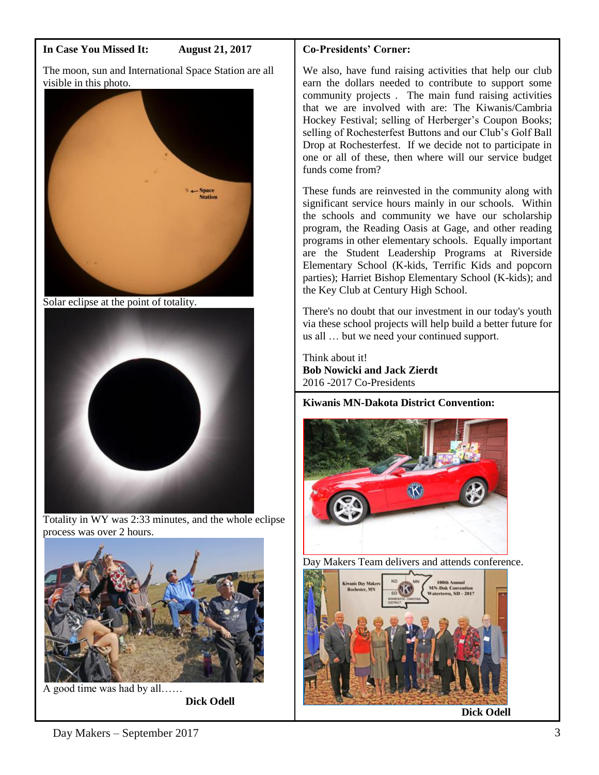## **In Case You Missed It: August 21, 2017**

The moon, sun and International Space Station are all visible in this photo.



Solar eclipse at the point of totality.



Totality in WY was 2:33 minutes, and the whole eclipse process was over 2 hours.



A good time was had by all……

 **Dick Odell**

# **Co-Presidents' Corner:**

We also, have fund raising activities that help our club earn the dollars needed to contribute to support some community projects . The main fund raising activities that we are involved with are: The Kiwanis/Cambria Hockey Festival; selling of Herberger's Coupon Books; selling of Rochesterfest Buttons and our Club's Golf Ball Drop at Rochesterfest. If we decide not to participate in one or all of these, then where will our service budget funds come from?

These funds are reinvested in the community along with significant service hours mainly in our schools. Within the schools and community we have our scholarship program, the Reading Oasis at Gage, and other reading programs in other elementary schools. Equally important are the Student Leadership Programs at Riverside Elementary School (K-kids, Terrific Kids and popcorn parties); Harriet Bishop Elementary School (K-kids); and the Key Club at Century High School.

There's no doubt that our investment in our today's youth via these school projects will help build a better future for us all … but we need your continued support.

Think about it! **Bob Nowicki and Jack Zierdt** 2016 -2017 Co-Presidents

**Kiwanis MN-Dakota District Convention:**



Day Makers Team delivers and attends conference.